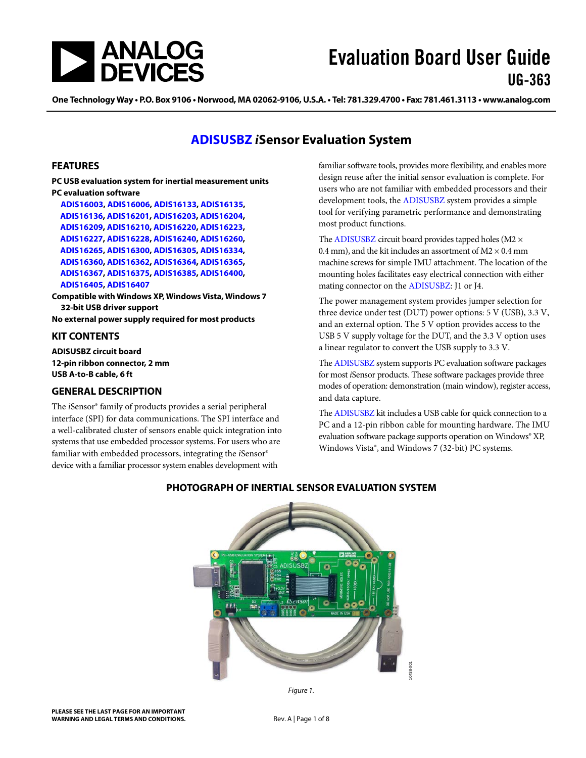

# Evaluation Board User Guide UG-363

One Technology Way • P.O. Box 9106 • Norwood, MA 02062-9106, U.S.A. • Tel: 781.329.4700 • Fax: 781.461.3113 • www.analog.com

# **[ADISUSBZ](http://www.analog.com/ADISUSBZ)** *i***Sensor Evaluation System**

### <span id="page-0-0"></span>**FEATURES**

**PC USB evaluation system for inertial measurement units PC evaluation software**

**[ADIS16003,](http://www.analog.com/ADIS16003) [ADIS16006,](http://www.analog.com/ADIS16006) [ADIS16133,](http://www.analog.com/ADIS16133) [ADIS16135,](http://www.analog.com/ADIS16135) [ADIS16136,](http://www.analog.com/ADIS16136) [ADIS16201,](http://www.analog.com/ADIS16201) [ADIS16203,](http://www.analog.com/ADIS16203) [ADIS16204,](http://www.analog.com/ADIS16204) [ADIS16209,](http://www.analog.com/ADIS16209) [ADIS16210,](http://www.analog.com/ADIS16210) [ADIS16220,](http://www.analog.com/ADIS16220) [ADIS16223,](http://www.analog.com/ADIS16223) [ADIS16227,](http://www.analog.com/ADIS16227) [ADIS16228,](http://www.analog.com/ADIS16228) [ADIS16240,](http://www.analog.com/ADIS16240) [ADIS16260,](http://www.analog.com/ADIS16260) [ADIS16265,](http://www.analog.com/ADIS16265) [ADIS16300,](http://www.analog.com/ADIS16300) [ADIS16305,](http://www.analog.com/ADIS16305) [ADIS16334,](http://www.analog.com/ADIS16334) [ADIS16360,](http://www.analog.com/ADIS16360) [ADIS16362,](http://www.analog.com/ADIS16362) [ADIS16364,](http://www.analog.com/ADIS16364) [ADIS16365,](http://www.analog.com/ADIS16365) [ADIS16367,](http://www.analog.com/ADIS16367) [ADIS16375,](http://www.analog.com/ADIS16375) [ADIS16385,](http://www.analog.com/ADIS16385) [ADIS16400,](http://www.analog.com/ADIS16400) [ADIS16405,](http://www.analog.com/ADIS16405) [ADIS16407](http://www.analog.com/ADIS16407)**

**Compatible with Windows XP, Windows Vista, Windows 7 32-bit USB driver support**

**No external power supply required for most products**

### <span id="page-0-1"></span>**KIT CONTENTS**

**ADISUSBZ circuit board 12-pin ribbon connector, 2 mm USB A-to-B cable, 6 ft**

### <span id="page-0-2"></span>**GENERAL DESCRIPTION**

<span id="page-0-3"></span>The *i*Sensor® family of products provides a serial peripheral interface (SPI) for data communications. The SPI interface and a well-calibrated cluster of sensors enable quick integration into systems that use embedded processor systems. For users who are familiar with embedded processors, integrating the *i*Sensor® device with a familiar processor system enables development with

familiar software tools, provides more flexibility, and enables more design reuse after the initial sensor evaluation is complete. For users who are not familiar with embedded processors and their development tools, the [ADISUSBZ](http://www.analog.com/ADISUSBZ) system provides a simple tool for verifying parametric performance and demonstrating most product functions.

Th[e ADISUSBZ](http://www.analog.com/ADISUSBZ) circuit board provides tapped holes ( $M2 \times$ 0.4 mm), and the kit includes an assortment of  $M2 \times 0.4$  mm machine screws for simple IMU attachment. The location of the mounting holes facilitates easy electrical connection with either mating connector on the [ADISUSBZ:](http://www.analog.com/ADISUSBZ) J1 or J4.

The power management system provides jumper selection for three device under test (DUT) power options: 5 V (USB), 3.3 V, and an external option. The 5 V option provides access to the USB 5 V supply voltage for the DUT, and the 3.3 V option uses a linear regulator to convert the USB supply to 3.3 V.

Th[e ADISUSBZ](http://www.analog.com/ADISUSBZ) system supports PC evaluation software packages for most *i*Sensor products. These software packages provide three modes of operation: demonstration (main window), register access, and data capture.

Th[e ADISUSBZ](http://www.analog.com/ADISUSBZ) kit includes a USB cable for quick connection to a PC and a 12-pin ribbon cable for mounting hardware. The IMU evaluation software package supports operation on Windows® XP, Windows Vista®, and Windows 7 (32-bit) PC systems.



### **PHOTOGRAPH OF INERTIAL SENSOR EVALUATION SYSTEM**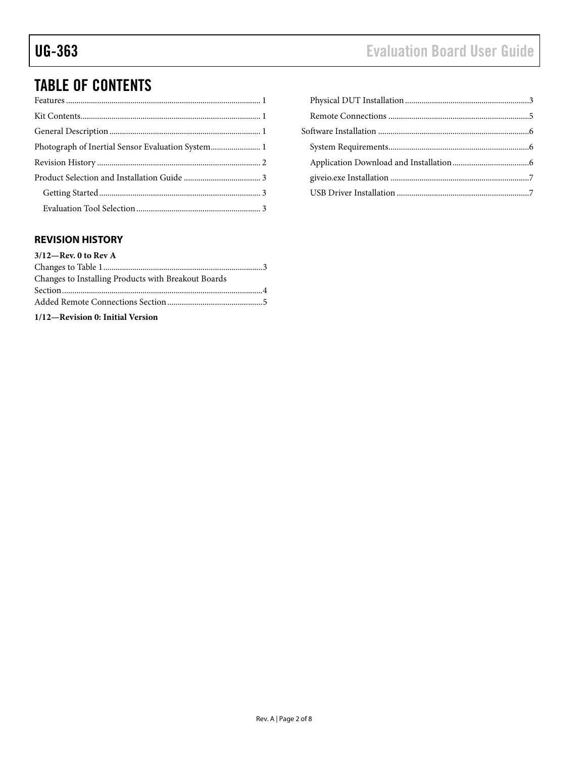# TABLE OF CONTENTS

| Photograph of Inertial Sensor Evaluation System 1 |  |
|---------------------------------------------------|--|
|                                                   |  |
|                                                   |  |
|                                                   |  |
|                                                   |  |
|                                                   |  |

# <span id="page-1-0"></span>**REVISION HISTORY**

| $3/12$ —Rev. 0 to Rev A                             |  |
|-----------------------------------------------------|--|
|                                                     |  |
| Changes to Installing Products with Breakout Boards |  |
|                                                     |  |
|                                                     |  |
|                                                     |  |

**1/12—Revision 0: Initial Version**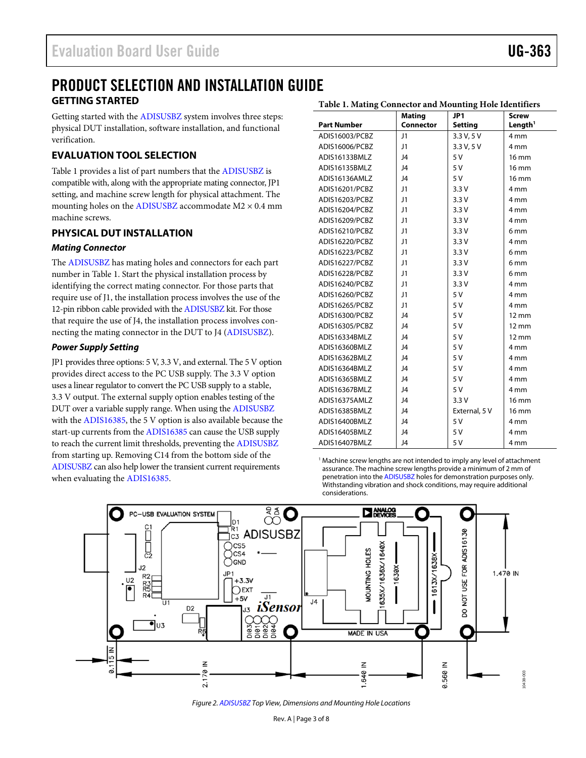### <span id="page-2-0"></span>PRODUCT SELECTION AND INSTALLATION GUIDE **GETTING STARTED Table 1. Mating Connector and Mounting Hole Identifiers**

<span id="page-2-1"></span>Getting started with th[e ADISUSBZ](http://www.analog.com/ADISUSBZ) system involves three steps: physical DUT installation, software installation, and functional verification.

# <span id="page-2-2"></span>**EVALUATION TOOL SELECTION**

[Table 1](#page-2-4) provides a list of part numbers that the [ADISUSBZ](http://www.analog.com/ADISUSBZ) is compatible with, along with the appropriate mating connector, JP1 setting, and machine screw length for physical attachment. The mounting holes on the [ADISUSBZ](http://www.analog.com/ADISUSBZ) accommodate  $M2 \times 0.4$  mm machine screws.

# <span id="page-2-3"></span>**PHYSICAL DUT INSTALLATION**

## *Mating Connector*

The [ADISUSBZ](http://www.analog.com/ADISUSBZ) has mating holes and connectors for each part number in [Table 1.](#page-2-4) Start the physical installation process by identifying the correct mating connector. For those parts that require use of J1, the installation process involves the use of the 12-pin ribbon cable provided with th[e ADISUSBZ](http://www.analog.com/ADISUSBZ) kit. For those that require the use of J4, the installation process involves connecting the mating connector in the DUT to J4 [\(ADISUSBZ\)](http://www.analog.com/ADISUSBZ).

## *Power Supply Setting*

JP1 provides three options: 5 V, 3.3 V, and external. The 5 V option provides direct access to the PC USB supply. The 3.3 V option uses a linear regulator to convert the PC USB supply to a stable, 3.3 V output. The external supply option enables testing of the DUT over a variable supply range. When using the [ADISUSBZ](http://www.analog.com/ADISUSBZ) with th[e ADIS16385,](http://www.analog.com/ADIS16385) the 5 V option is also available because the start-up currents from th[e ADIS16385](http://www.analog.com/ADIS16385) can cause the USB supply to reach the current limit thresholds, preventing th[e ADISUSBZ](http://www.analog.com/ADISUSBZ) from starting up. Removing C14 from the bottom side of the [ADISUSBZ](http://www.analog.com/ADISUSBZ) can also help lower the transient current requirements when evaluating th[e ADIS16385.](http://www.analog.com/ADIS16385)

<span id="page-2-4"></span>

|                    | <b>Mating</b>   | JP1            | <b>Screw</b>        |
|--------------------|-----------------|----------------|---------------------|
| <b>Part Number</b> | Connector       | <b>Setting</b> | Length <sup>1</sup> |
| ADIS16003/PCBZ     | J1              | 3.3 V, 5 V     | 4 mm                |
| ADIS16006/PCBZ     | J1              | 3.3 V, 5 V     | 4 mm                |
| ADIS16133BMLZ      | J4              | 5V             | 16 mm               |
| ADIS16135BMLZ      | J4              | 5 V            | $16 \text{ mm}$     |
| ADIS16136AMLZ      | J <sub>4</sub>  | 5 V            | $16 \text{ mm}$     |
| ADIS16201/PCBZ     | J1              | 3.3V           | 4 mm                |
| ADIS16203/PCBZ     | J1              | 3.3V           | 4 mm                |
| ADIS16204/PCBZ     | J1              | 3.3V           | 4 mm                |
| ADIS16209/PCBZ     | J1              | 3.3V           | 4 mm                |
| ADIS16210/PCBZ     | J1              | 3.3V           | 6 <sub>mm</sub>     |
| ADIS16220/PCBZ     | $\overline{11}$ | 3.3V           | 4 mm                |
| ADIS16223/PCBZ     | J1              | 3.3V           | 6 mm                |
| ADIS16227/PCBZ     | J1              | 3.3V           | 6 <sub>mm</sub>     |
| ADIS16228/PCBZ     | J1              | 3.3V           | 6 <sub>mm</sub>     |
| ADIS16240/PCBZ     | J1              | 3.3V           | 4 mm                |
| ADIS16260/PCBZ     | J1              | 5 V            | 4 mm                |
| ADIS16265/PCBZ     | J1              | 5 V            | 4 <sub>mm</sub>     |
| ADIS16300/PCBZ     | J4              | 5V             | $12 \text{ mm}$     |
| ADIS16305/PCBZ     | J <sub>4</sub>  | 5 V            | $12 \text{ mm}$     |
| ADIS16334BMLZ      | J4              | 5 V            | $12 \text{ mm}$     |
| ADIS16360BMLZ      | J4              | 5V             | 4 mm                |
| ADIS16362BMLZ      | J <sub>4</sub>  | 5 V            | 4 mm                |
| ADIS16364BMLZ      | J4              | 5 V            | 4 mm                |
| ADIS16365BMLZ      | J <sub>4</sub>  | 5 V            | 4 mm                |
| ADIS16367BMLZ      | J4              | 5 V            | 4 mm                |
| ADIS16375AMLZ      | 14              | 3.3V           | 16 mm               |
| ADIS16385BMLZ      | J <sub>4</sub>  | External, 5 V  | 16 mm               |
| ADIS16400BMLZ      | J4              | 5V             | 4 mm                |
| ADIS16405BMLZ      | J4              | 5V             | 4 mm                |
| ADIS16407BMLZ      | J4              | 5 V            | 4 mm                |

<sup>1</sup> Machine screw lengths are not intended to imply any level of attachment assurance. The machine screw lengths provide a minimum of 2 mm of penetration into th[e ADISUSBZ](http://www.analog.com/ADISUSBZ) holes for demonstration purposes only. Withstanding vibration and shock conditions, may require additional considerations.



*Figure 2[. ADISUSBZ](http://www.analog.com/ADISUSBZ) Top View, Dimensions and Mounting Hole Locations*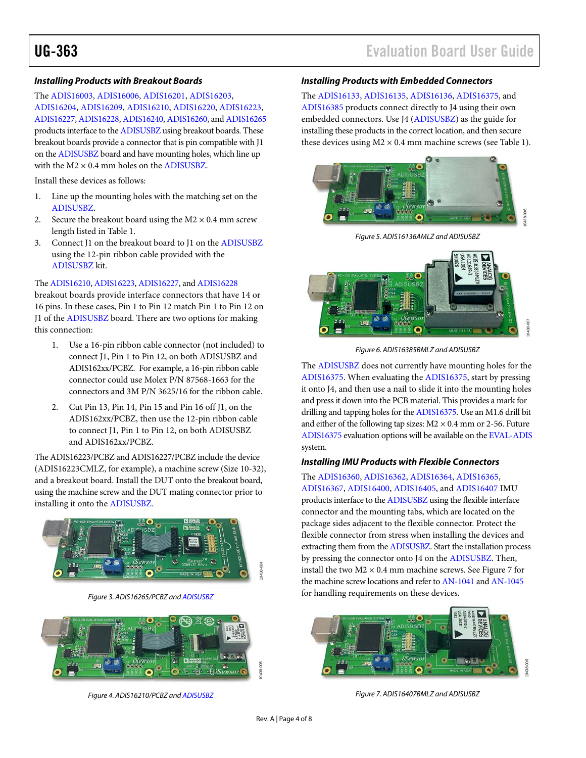#### *Installing Products with Breakout Boards*

The [ADIS16003,](http://www.analog.com/ADIS16003) [ADIS16006,](http://www.analog.com/ADIS16006) [ADIS16201,](http://www.analog.com/ADIS16201) [ADIS16203,](http://www.analog.com/ADIS16203) [ADIS16204,](http://www.analog.com/ADIS16204) [ADIS16209,](http://www.analog.com/ADIS16209) [ADIS16210,](http://www.analog.com/ADIS16210) [ADIS16220,](http://www.analog.com/ADIS16220) [ADIS16223,](http://www.analog.com/ADIS16223) [ADIS16227,](http://www.analog.com/ADIS16227) [ADIS16228,](http://www.analog.com/ADIS16228) [ADIS16240,](http://www.analog.com/ADIS16240) [ADIS16260,](http://www.analog.com/ADIS16260) an[d ADIS16265](http://www.analog.com/ADIS16265) products interface to the [ADISUSBZ](http://www.analog.com/ADISUSBZ) using breakout boards. These breakout boards provide a connector that is pin compatible with J1 on th[e ADISUSBZ](http://www.analog.com/ADISUSBZ) board and have mounting holes, which line up with the  $M2 \times 0.4$  mm holes on th[e ADISUSBZ.](http://www.analog.com/ADISUSBZ)

Install these devices as follows:

- 1. Line up the mounting holes with the matching set on the [ADISUSBZ.](http://www.analog.com/ADISUSBZ)
- 2. Secure the breakout board using the  $M2 \times 0.4$  mm screw length listed in [Table 1.](#page-2-4)
- 3. Connect J1 on the breakout board to J1 on the [ADISUSBZ](http://www.analog.com/ADISUSBZ) using the 12-pin ribbon cable provided with the [ADISUSBZ](http://www.analog.com/ADISUSBZ) kit.

### Th[e ADIS16210,](http://www.analog.com/ADIS16210) [ADIS16223,](http://www.analog.com/ADIS16223) [ADIS16227,](http://www.analog.com/ADIS16227) an[d ADIS16228](http://www.analog.com/ADIS16228)

breakout boards provide interface connectors that have 14 or 16 pins. In these cases, Pin 1 to Pin 12 match Pin 1 to Pin 12 on J1 of th[e ADISUSBZ](http://www.analog.com/ADISUSBZ) board. There are two options for making this connection:

- 1. Use a 16-pin ribbon cable connector (not included) to connect J1, Pin 1 to Pin 12, on both ADISUSBZ and ADIS162xx/PCBZ. For example, a 16-pin ribbon cable connector could use Molex P/N 87568-1663 for the connectors and 3M P/N 3625/16 for the ribbon cable.
- 2. Cut Pin 13, Pin 14, Pin 15 and Pin 16 off J1, on the ADIS162xx/PCBZ, then use the 12-pin ribbon cable to connect J1, Pin 1 to Pin 12, on both ADISUSBZ and ADIS162xx/PCBZ.

The ADIS16223/PCBZ and ADIS16227/PCBZ include the device (ADIS16223CMLZ, for example), a machine screw (Size 10-32), and a breakout board. Install the DUT onto the breakout board, using the machine screw and the DUT mating connector prior to installing it onto th[e ADISUSBZ.](http://www.analog.com/ADISUSBZ)



*Figure 3. ADIS16265/PCBZ an[d ADISUSBZ](http://www.analog.com/ADISUSBZ)*



*Figure 4. ADIS16210/PCBZ an[d ADISUSBZ](http://www.analog.com/ADISUSBZ)*

# UG-363 Evaluation Board User Guide

# *Installing Products with Embedded Connectors*

The [ADIS16133,](http://www.analog.com/ADIS16133) [ADIS16135,](http://www.analog.com/ADIS16135) [ADIS16136,](http://www.analog.com/ADIS16136) [ADIS16375,](http://www.analog.com/ADIS16375) and [ADIS16385](http://www.analog.com/ADIS16385) products connect directly to J4 using their own embedded connectors. Use J4 [\(ADISUSBZ\)](http://www.analog.com/ADISUSBZ) as the guide for installing these products in the correct location, and then secure these devices using  $M2 \times 0.4$  mm machine screws (se[e Table 1\)](#page-2-4).



*Figure 5. ADIS16136AMLZ and ADISUSBZ*



*Figure 6. ADIS16385BMLZ and ADISUSBZ*

The [ADISUSBZ](http://www.analog.com/ADISUSBZ) does not currently have mounting holes for the [ADIS16375.](http://www.analog.com/ADIS16375) When evaluating th[e ADIS16375,](http://www.analog.com/ADIS16375) start by pressing it onto J4, and then use a nail to slide it into the mounting holes and press it down into the PCB material. This provides a mark for drilling and tapping holes for the [ADIS16375.](http://www.analog.com/ADIS16375) Use an M1.6 drill bit and either of the following tap sizes:  $M2 \times 0.4$  mm or 2-56. Future [ADIS16375](http://www.analog.com/ADIS16375) evaluation options will be available on th[e EVAL-ADIS](http://www.analog.com/EVAL-ADIS) system.

#### *Installing IMU Products with Flexible Connectors*

The [ADIS16360,](http://www.analog.com/ADIS16360) [ADIS16362,](http://www.analog.com/ADIS16362) [ADIS16364,](http://www.analog.com/ADIS16364) [ADIS16365,](http://www.analog.com/ADIS16365) [ADIS16367,](http://www.analog.com/ADIS16367) [ADIS16400,](http://www.analog.com/ADIS16400) [ADIS16405,](http://www.analog.com/ADIS16405) an[d ADIS16407](http://www.analog.com/ADIS16407) IMU products interface to the [ADISUSBZ](http://www.analog.com/ADISUSBZ) using the flexible interface connector and the mounting tabs, which are located on the package sides adjacent to the flexible connector. Protect the flexible connector from stress when installing the devices and extracting them from th[e ADISUSBZ.](http://www.analog.com/ADISUSBZ) Start the installation process by pressing the connector onto J4 on the [ADISUSBZ.](http://www.analog.com/ADISUSBZ) Then, install the two  $M2 \times 0.4$  mm machine screws. See [Figure 7](#page-3-0) for the machine screw locations and refer t[o AN-1041](http://www.analog.com/AN-1041) an[d AN-1045](http://www.analog.com/AN-1045) for handling requirements on these devices.

<span id="page-3-0"></span>

*Figure 7. ADIS16407BMLZ and ADISUSBZ*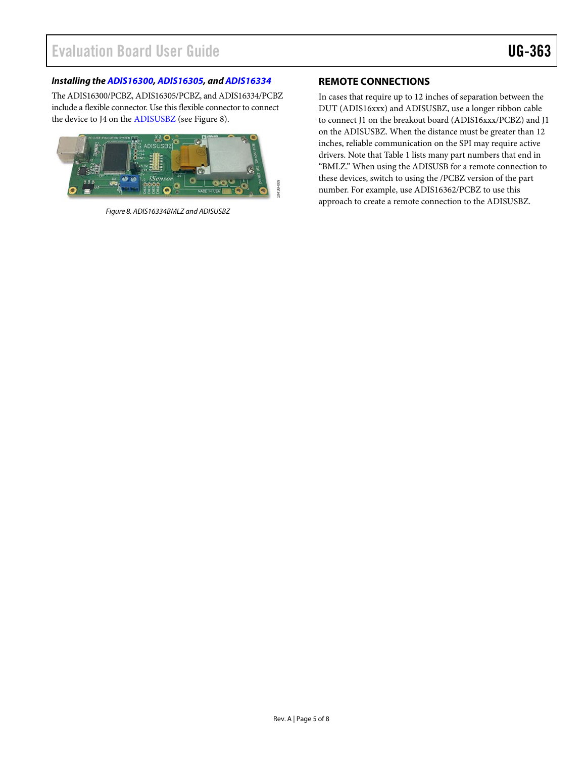# *Installing th[e ADIS16300,](http://www.analog.com/ADIS16300) [ADIS16305,](http://www.analog.com/ADIS16305) and [ADIS16334](http://www.analog.com/ADIS16334)*

The ADIS16300/PCBZ, ADIS16305/PCBZ, and ADIS16334/PCBZ include a flexible connector. Use this flexible connector to connect the device to J4 on the [ADISUSBZ](http://www.analog.com/ADISUSBZ) (see Figure 8).



*Figure 8. ADIS16334BMLZ and ADISUSBZ*

# <span id="page-4-0"></span>**REMOTE CONNECTIONS**

In cases that require up to 12 inches of separation between the DUT (ADIS16xxx) and ADISUSBZ, use a longer ribbon cable to connect J1 on the breakout board (ADIS16xxx/PCBZ) and J1 on the ADISUSBZ. When the distance must be greater than 12 inches, reliable communication on the SPI may require active drivers. Note tha[t Table](#page-2-4) 1 lists many part numbers that end in "BMLZ." When using the ADISUSB for a remote connection to these devices, switch to using the /PCBZ version of the part number. For example, use ADIS16362/PCBZ to use this approach to create a remote connection to the ADISUSBZ.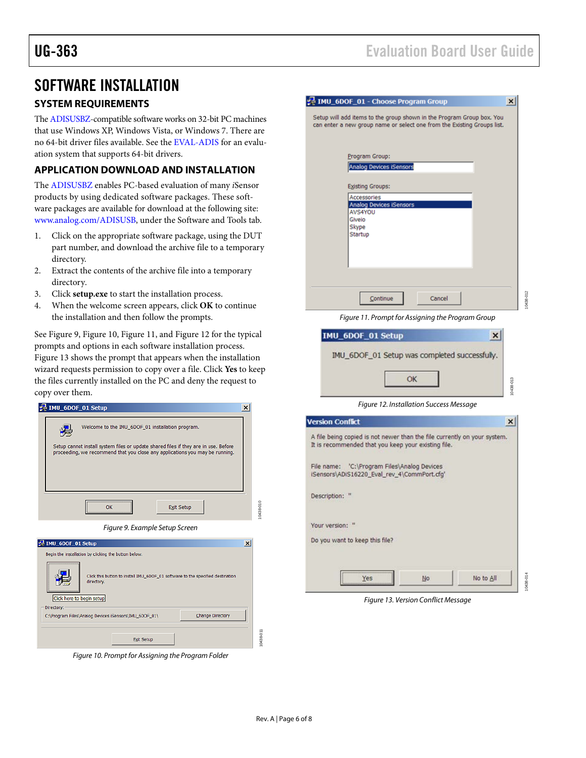# <span id="page-5-0"></span>SOFTWARE INSTALLATION

# <span id="page-5-1"></span>**SYSTEM REQUIREMENTS**

Th[e ADISUSBZ-](http://www.analog.com/ADISUSBZ)compatible software works on 32-bit PC machines that use Windows XP, Windows Vista, or Windows 7. There are no 64-bit driver files available. See th[e EVAL-ADIS](http://www.analog.com/EVAL-ADIS) for an evaluation system that supports 64-bit drivers.

# <span id="page-5-2"></span>**APPLICATION DOWNLOAD AND INSTALLATION**

The [ADISUSBZ](http://www.analog.com/ADISUSBZ) enables PC-based evaluation of many *i*Sensor products by using dedicated software packages. These software packages are available for download at the following site: [www.analog.com/ADISUSB,](http://www.analog.com/ADISUSB) under the Software and Tools tab.

- 1. Click on the appropriate software package, using the DUT part number, and download the archive file to a temporary directory.
- 2. Extract the contents of the archive file into a temporary directory.
- 3. Click **setup.exe** to start the installation process.
- 4. When the welcome screen appears, click **OK** to continue the installation and then follow the prompts.

See [Figure 9,](#page-5-3) [Figure 10,](#page-5-4) Figure 11, and [Figure 12](#page-5-5) for the typical prompts and options in each software installation process. [Figure 13](#page-5-6) shows the prompt that appears when the installation wizard requests permission to copy over a file. Click **Yes** to keep the files currently installed on the PC and deny the request to copy over them.

<span id="page-5-3"></span>

<span id="page-5-4"></span>*Figure 10. Prompt for Assigning the Program Folder*

| IMU_6DOF_01 - Choose Program Group<br>$\boldsymbol{\mathsf{x}}$                                                                                  |  |
|--------------------------------------------------------------------------------------------------------------------------------------------------|--|
| Setup will add items to the group shown in the Program Group box. You<br>can enter a new group name or select one from the Existing Groups list. |  |
| Program Group:<br>Analog Devices iSensors<br><b>Existing Groups:</b>                                                                             |  |
| Accessories<br><b>Analog Devices iSensors</b><br>AVS4YOU<br>Giveio<br>Skype<br><b>Startup</b>                                                    |  |
| Continue<br>Cancel                                                                                                                               |  |

*Figure 11. Prompt for Assigning the Program Group*

10438-012

0438-012

10438-014

0438-014

| IMU_6DOF_01 Setup was completed successfully. |                   |
|-----------------------------------------------|-------------------|
|                                               | 0438-013          |
|                                               | IMU_6DOF_01 Setup |

*Figure 12. Installation Success Message*

<span id="page-5-5"></span>

| A file being copied is not newer than the file currently on your system. |
|--------------------------------------------------------------------------|
|                                                                          |
|                                                                          |
|                                                                          |
|                                                                          |
| No to All                                                                |
|                                                                          |

<span id="page-5-6"></span>*Figure 13. Version Conflict Message*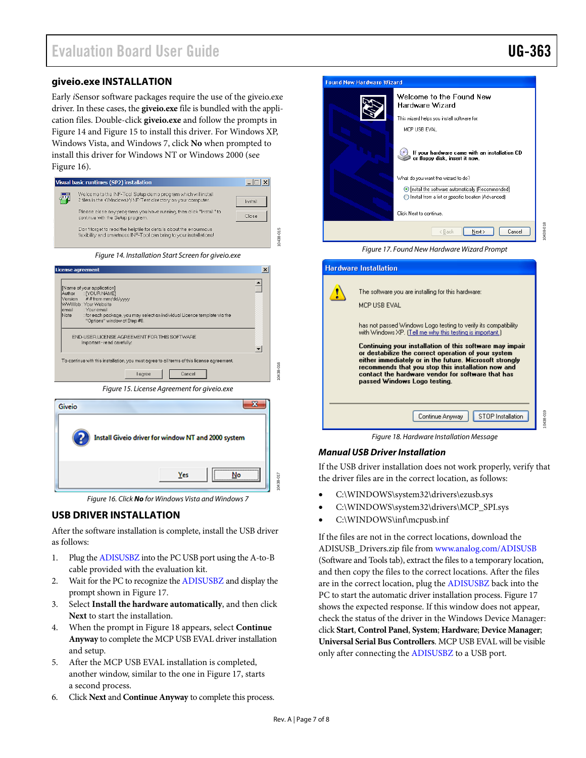10438-018

# <span id="page-6-0"></span>**giveio.exe INSTALLATION**

Early *i*Sensor software packages require the use of the giveio.exe driver. In these cases, the **giveio.exe** file is bundled with the application files. Double-click **giveio.exe** and follow the prompts in Figure 14 an[d Figure 15](#page-6-2) to install this driver. For Windows XP, Windows Vista, and Windows 7, click **No** when prompted to install this driver for Windows NT or Windows 2000 (see [Figure 16\)](#page-6-3).

| Visual basic runtimes (SP2) installation                                                                                                 |         |
|------------------------------------------------------------------------------------------------------------------------------------------|---------|
| Welcome to the INF-Tool Setup demo program which will install<br>2 files in the <windows>\INF-Test directory on your computer.</windows> | Install |
| Please close any programs you have running, then click "Install" to<br>continue with the Setup program.                                  | Close   |
| Don't forget to read the helpfile for details about the enourmous<br>flexibility and smartness INF-Tool can bring to your installations! |         |
|                                                                                                                                          |         |

Figure 14. Installation Start Screen for giveio.exe

10438-015

0438-015

<span id="page-6-2"></span>

Figure 16. Click **No** for Windows Vista and Windows 7

### <span id="page-6-3"></span><span id="page-6-1"></span>**USB DRIVER INSTALLATION**

After the software installation is complete, install the USB driver as follows:

- 1. Plug th[e ADISUSBZ i](http://www.analog.com/ADISUSBZ)nto the PC USB port using the A-to-B cable provided with the evaluation kit.
- 2. Wait for the PC to recognize th[e ADISUSBZ](http://www.analog.com/ADISUSBZ) and display the prompt shown in Figure 17.
- 3. Select **Install the hardware automatically**, and then click **Next** to start the installation.
- 4. When the prompt in [Figure 18](#page-6-4) appears, select **Continue Anyway** to complete the MCP USB EVAL driver installation and setup.
- 5. After the MCP USB EVAL installation is completed, another window, similar to the one in Figure 17, starts a second process.
- 6. Click **Next** and **Continue Anyway** to complete this process.



Figure 17. Found New Hardware Wizard Prompt

| <b>Hardware Installation</b>                                                                                                                                                                                                                                                                                                                                                                                                                                                                                                  |          |
|-------------------------------------------------------------------------------------------------------------------------------------------------------------------------------------------------------------------------------------------------------------------------------------------------------------------------------------------------------------------------------------------------------------------------------------------------------------------------------------------------------------------------------|----------|
| The software you are installing for this hardware:<br>MCP LISB EVAL.<br>has not passed Windows Logo testing to verify its compatibility<br>with Windows XP. [Tell me why this testing is important.]<br>Continuing your installation of this software may impair<br>or destabilize the correct operation of your system<br>either immediately or in the future. Microsoft strongly<br>recommends that you stop this installation now and<br>contact the hardware vendor for software that has<br>passed Windows Logo testing. |          |
| STOP Installation<br>Continue Anyway                                                                                                                                                                                                                                                                                                                                                                                                                                                                                          | 0438-019 |
| Figure 18. Hardware Installation Message                                                                                                                                                                                                                                                                                                                                                                                                                                                                                      |          |

#### <span id="page-6-4"></span>**Manual USB Driver Installation**

If the USB driver installation does not work properly, verify that the driver files are in the correct location, as follows:

- C:\WINDOWS\system32\drivers\ezusb.sys
- C:\WINDOWS\system32\drivers\MCP\_SPI.sys
- C:\WINDOWS\inf\mcpusb.inf

If the files are not in the correct locations, download the ADISUSB\_Drivers.zip file from [www.analog.com/ADISUSB](http://www.analog.com/ADISUSB) (Software and Tools tab), extract the files to a temporary location, and then copy the files to the correct locations. After the files are in the correct location, plug the [ADISUSBZ b](http://www.analog.com/ADISUSBZ)ack into the PC to start the automatic driver installation process. Figure 17 shows the expected response. If this window does not appear, check the status of the driver in the Windows Device Manager: click **Start**, **Control Panel**, **System**; **Hardware**; **Device Manager**; **Universal Serial Bus Controllers**. MCP USB EVAL will be visible only after connecting the [ADISUSBZ t](http://www.analog.com/ADISUSBZ)o a USB port.